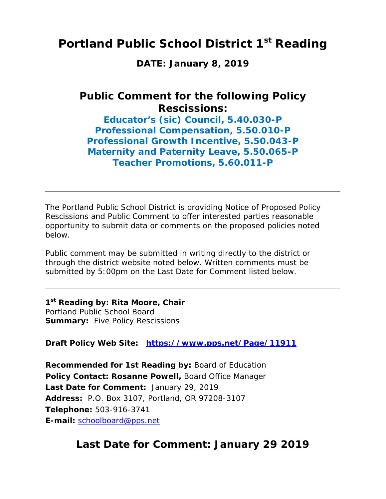## **Portland Public School District 1st Reading**

**DATE: January 8, 2019** 

### **Public Comment for the following Policy Rescissions:**

**Educator's (sic) Council, 5.40.030-P Professional Compensation, 5.50.010-P Professional Growth Incentive, 5.50.043-P Maternity and Paternity Leave, 5.50.065-P Teacher Promotions, 5.60.011-P** 

The Portland Public School District is providing Notice of Proposed Policy Rescissions and Public Comment to offer interested parties reasonable opportunity to submit data or comments on the proposed policies noted below.

Public comment may be submitted in writing directly to the district or through the district website noted below. Written comments must be submitted by 5:00pm on the Last Date for Comment listed below.

**1st Reading by: Rita Moore, Chair** Portland Public School Board **Summary:** Five Policy Rescissions

**Draft Policy Web Site: https://www.pps.net/Page/11911**

**Recommended for 1st Reading by:** Board of Education **Policy Contact: Rosanne Powell,** Board Office Manager **Last Date for Comment:** January 29, 2019 **Address:** P.O. Box 3107, Portland, OR 97208-3107 **Telephone:** 503-916-3741 **E-mail:** schoolboard@pps.net

### **Last Date for Comment: January 29 2019**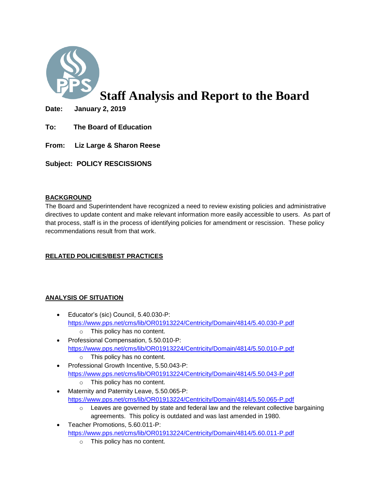

# **Staff Analysis and Report to the Board**

**Date: January 2, 2019** 

- **To: The Board of Education**
- **From: Liz Large & Sharon Reese**

**Subject: POLICY RESCISSIONS**

#### **BACKGROUND**

The Board and Superintendent have recognized a need to review existing policies and administrative directives to update content and make relevant information more easily accessible to users. As part of that process, staff is in the process of identifying policies for amendment or rescission. These policy recommendations result from that work.

#### **RELATED POLICIES/BEST PRACTICES**

#### **ANALYSIS OF SITUATION**

- Educator's (sic) Council, 5.40.030-P: <https://www.pps.net/cms/lib/OR01913224/Centricity/Domain/4814/5.40.030-P.pdf> o This policy has no content.
- Professional Compensation, 5.50.010-P: <https://www.pps.net/cms/lib/OR01913224/Centricity/Domain/4814/5.50.010-P.pdf>
	- o This policy has no content.
- Professional Growth Incentive, 5.50.043-P: <https://www.pps.net/cms/lib/OR01913224/Centricity/Domain/4814/5.50.043-P.pdf> o This policy has no content.
- Maternity and Paternity Leave, 5.50.065-P: <https://www.pps.net/cms/lib/OR01913224/Centricity/Domain/4814/5.50.065-P.pdf>
	- $\circ$  Leaves are governed by state and federal law and the relevant collective bargaining agreements. This policy is outdated and was last amended in 1980.
- Teacher Promotions, 5.60.011-P: <https://www.pps.net/cms/lib/OR01913224/Centricity/Domain/4814/5.60.011-P.pdf>
	- o This policy has no content.